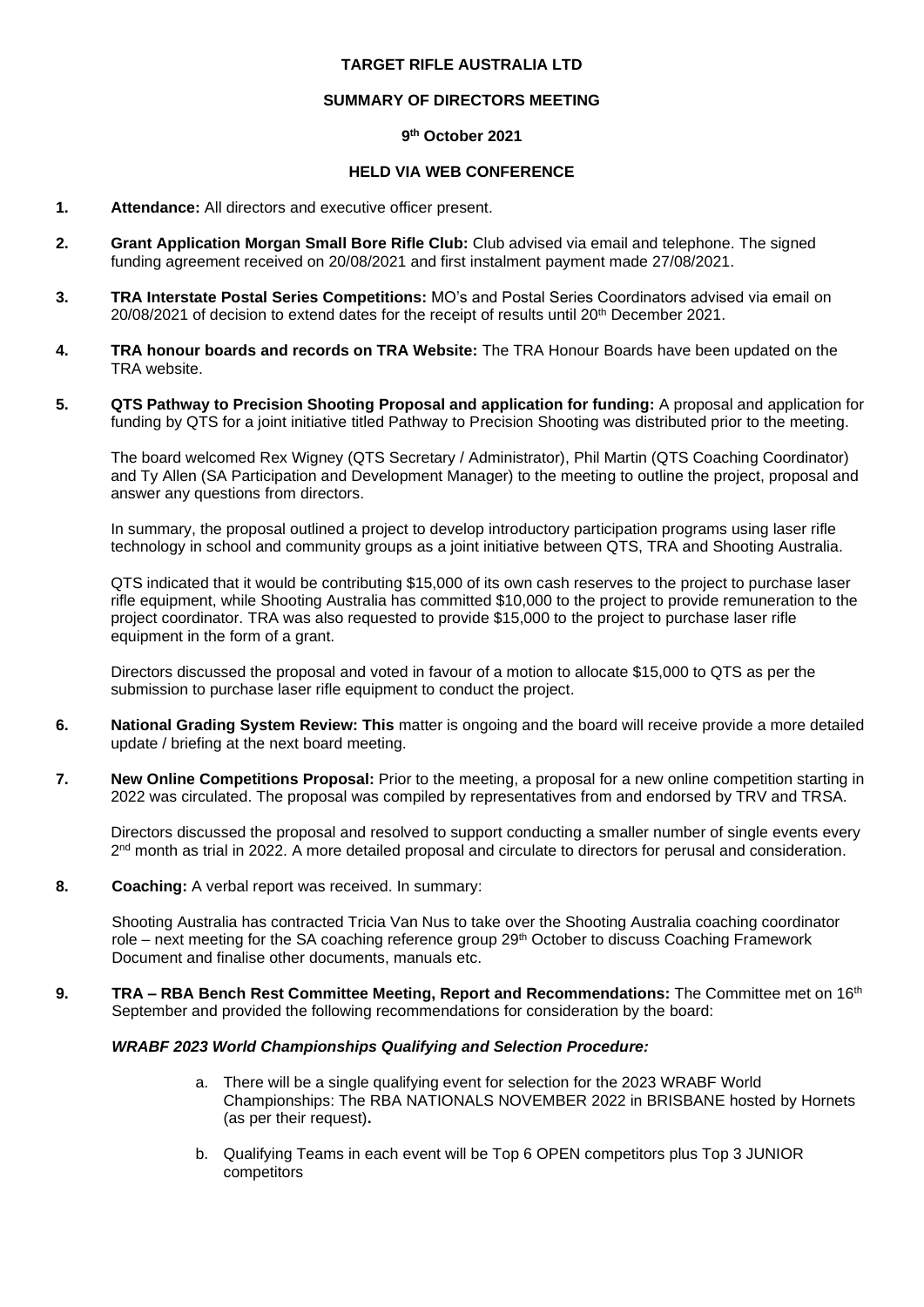## **TARGET RIFLE AUSTRALIA LTD**

## **SUMMARY OF DIRECTORS MEETING**

## **9 th October 2021**

## **HELD VIA WEB CONFERENCE**

## **1. Attendance:** All directors and executive officer present.

- **2. Grant Application Morgan Small Bore Rifle Club:** Club advised via email and telephone. The signed funding agreement received on 20/08/2021 and first instalment payment made 27/08/2021.
- **3. TRA Interstate Postal Series Competitions:** MO's and Postal Series Coordinators advised via email on  $20/08/2021$  of decision to extend dates for the receipt of results until  $20<sup>th</sup>$  December 2021.
- **4. TRA honour boards and records on TRA Website:** The TRA Honour Boards have been updated on the TRA website.
- **5. QTS Pathway to Precision Shooting Proposal and application for funding:** A proposal and application for funding by QTS for a joint initiative titled Pathway to Precision Shooting was distributed prior to the meeting.

The board welcomed Rex Wigney (QTS Secretary / Administrator), Phil Martin (QTS Coaching Coordinator) and Ty Allen (SA Participation and Development Manager) to the meeting to outline the project, proposal and answer any questions from directors.

In summary, the proposal outlined a project to develop introductory participation programs using laser rifle technology in school and community groups as a joint initiative between QTS, TRA and Shooting Australia.

QTS indicated that it would be contributing \$15,000 of its own cash reserves to the project to purchase laser rifle equipment, while Shooting Australia has committed \$10,000 to the project to provide remuneration to the project coordinator. TRA was also requested to provide \$15,000 to the project to purchase laser rifle equipment in the form of a grant.

Directors discussed the proposal and voted in favour of a motion to allocate \$15,000 to QTS as per the submission to purchase laser rifle equipment to conduct the project.

- **6. National Grading System Review: This** matter is ongoing and the board will receive provide a more detailed update / briefing at the next board meeting.
- **7. New Online Competitions Proposal:** Prior to the meeting, a proposal for a new online competition starting in 2022 was circulated. The proposal was compiled by representatives from and endorsed by TRV and TRSA.

Directors discussed the proposal and resolved to support conducting a smaller number of single events every 2<sup>nd</sup> month as trial in 2022. A more detailed proposal and circulate to directors for perusal and consideration.

**8. Coaching:** A verbal report was received. In summary:

Shooting Australia has contracted Tricia Van Nus to take over the Shooting Australia coaching coordinator role – next meeting for the SA coaching reference group 29<sup>th</sup> October to discuss Coaching Framework Document and finalise other documents, manuals etc.

**9. TRA – RBA Bench Rest Committee Meeting, Report and Recommendations:** The Committee met on 16th September and provided the following recommendations for consideration by the board:

# *WRABF 2023 World Championships Qualifying and Selection Procedure:*

- a. There will be a single qualifying event for selection for the 2023 WRABF World Championships: The RBA NATIONALS NOVEMBER 2022 in BRISBANE hosted by Hornets (as per their request)**.**
- b. Qualifying Teams in each event will be Top 6 OPEN competitors plus Top 3 JUNIOR competitors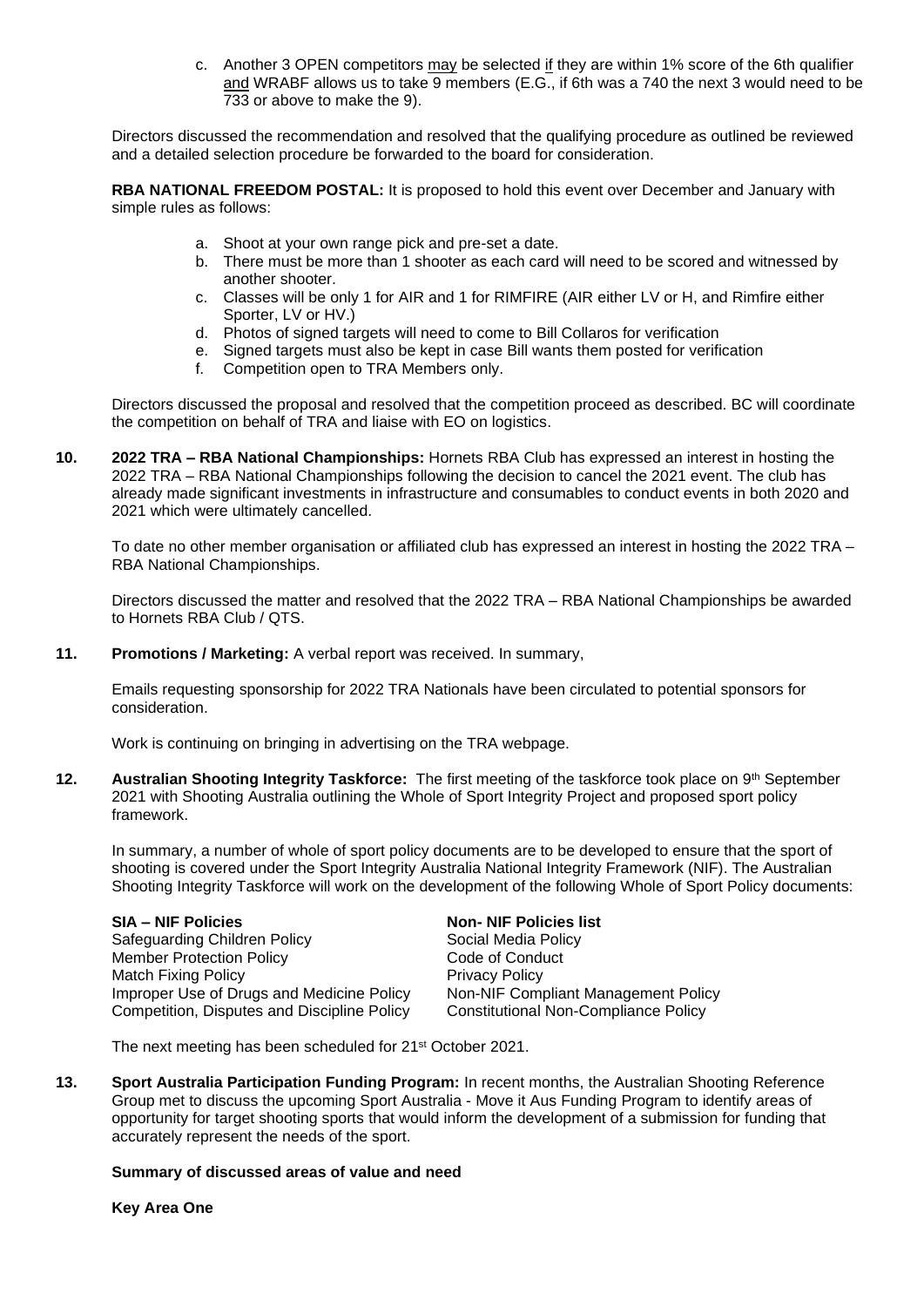c. Another 3 OPEN competitors may be selected if they are within 1% score of the 6th qualifier and WRABF allows us to take 9 members (E.G., if 6th was a 740 the next 3 would need to be 733 or above to make the 9).

Directors discussed the recommendation and resolved that the qualifying procedure as outlined be reviewed and a detailed selection procedure be forwarded to the board for consideration.

**RBA NATIONAL FREEDOM POSTAL:** It is proposed to hold this event over December and January with simple rules as follows:

- a. Shoot at your own range pick and pre-set a date.
- b. There must be more than 1 shooter as each card will need to be scored and witnessed by another shooter.
- c. Classes will be only 1 for AIR and 1 for RIMFIRE (AIR either LV or H, and Rimfire either Sporter, LV or HV.)
- d. Photos of signed targets will need to come to Bill Collaros for verification
- e. Signed targets must also be kept in case Bill wants them posted for verification
- f. Competition open to TRA Members only.

Directors discussed the proposal and resolved that the competition proceed as described. BC will coordinate the competition on behalf of TRA and liaise with EO on logistics.

**10. 2022 TRA – RBA National Championships:** Hornets RBA Club has expressed an interest in hosting the 2022 TRA – RBA National Championships following the decision to cancel the 2021 event. The club has already made significant investments in infrastructure and consumables to conduct events in both 2020 and 2021 which were ultimately cancelled.

To date no other member organisation or affiliated club has expressed an interest in hosting the 2022 TRA – RBA National Championships.

Directors discussed the matter and resolved that the 2022 TRA – RBA National Championships be awarded to Hornets RBA Club / QTS.

**11. Promotions / Marketing:** A verbal report was received. In summary,

Emails requesting sponsorship for 2022 TRA Nationals have been circulated to potential sponsors for consideration.

Work is continuing on bringing in advertising on the TRA webpage.

**12. Australian Shooting Integrity Taskforce:** The first meeting of the taskforce took place on 9<sup>th</sup> September 2021 with Shooting Australia outlining the Whole of Sport Integrity Project and proposed sport policy framework.

In summary, a number of whole of sport policy documents are to be developed to ensure that the sport of shooting is covered under the Sport Integrity Australia National Integrity Framework (NIF). The Australian Shooting Integrity Taskforce will work on the development of the following Whole of Sport Policy documents:

**SIA – NIF Policies Non- NIF Policies list** Safeguarding Children Policy Social Media Policy Member Protection Policy **Code of Conduct** Match Fixing Policy<br>
Improper Use of Drugs and Medicine Policy<br>
Non-NIF Compliant Management Policy Improper Use of Drugs and Medicine Policy Competition, Disputes and Discipline Policy Constitutional Non-Compliance Policy

The next meeting has been scheduled for 21st October 2021.

**13. Sport Australia Participation Funding Program:** In recent months, the Australian Shooting Reference Group met to discuss the upcoming Sport Australia - Move it Aus Funding Program to identify areas of opportunity for target shooting sports that would inform the development of a submission for funding that accurately represent the needs of the sport.

#### **Summary of discussed areas of value and need**

**Key Area One**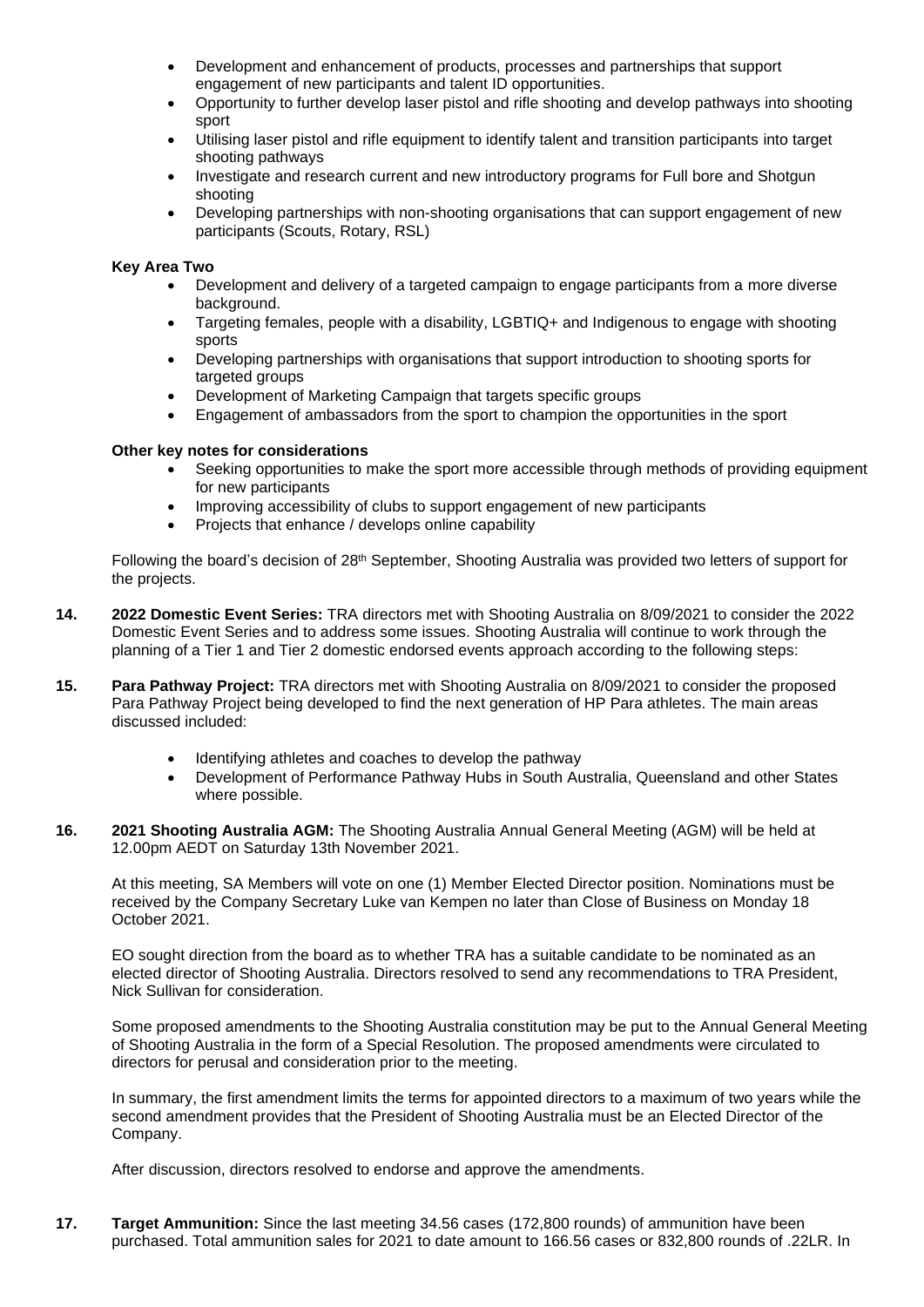- Development and enhancement of products, processes and partnerships that support engagement of new participants and talent ID opportunities.
- Opportunity to further develop laser pistol and rifle shooting and develop pathways into shooting sport
- Utilising laser pistol and rifle equipment to identify talent and transition participants into target shooting pathways
- Investigate and research current and new introductory programs for Full bore and Shotgun shooting
- Developing partnerships with non-shooting organisations that can support engagement of new participants (Scouts, Rotary, RSL)

## **Key Area Two**

- Development and delivery of a targeted campaign to engage participants from a more diverse background.
- Targeting females, people with a disability, LGBTIQ+ and Indigenous to engage with shooting sports
- Developing partnerships with organisations that support introduction to shooting sports for targeted groups
- Development of Marketing Campaign that targets specific groups
- Engagement of ambassadors from the sport to champion the opportunities in the sport

## **Other key notes for considerations**

- Seeking opportunities to make the sport more accessible through methods of providing equipment for new participants
- Improving accessibility of clubs to support engagement of new participants
- Projects that enhance / develops online capability

Following the board's decision of 28th September, Shooting Australia was provided two letters of support for the projects.

- **14. 2022 Domestic Event Series:** TRA directors met with Shooting Australia on 8/09/2021 to consider the 2022 Domestic Event Series and to address some issues. Shooting Australia will continue to work through the planning of a Tier 1 and Tier 2 domestic endorsed events approach according to the following steps:
- **15. Para Pathway Project:** TRA directors met with Shooting Australia on 8/09/2021 to consider the proposed Para Pathway Project being developed to find the next generation of HP Para athletes. The main areas discussed included:
	- Identifying athletes and coaches to develop the pathway
	- Development of Performance Pathway Hubs in South Australia, Queensland and other States where possible.
- **16. 2021 Shooting Australia AGM:** The Shooting Australia Annual General Meeting (AGM) will be held at 12.00pm AEDT on Saturday 13th November 2021.

At this meeting, SA Members will vote on one (1) Member Elected Director position. Nominations must be received by the Company Secretary Luke van Kempen no later than Close of Business on Monday 18 October 2021.

EO sought direction from the board as to whether TRA has a suitable candidate to be nominated as an elected director of Shooting Australia. Directors resolved to send any recommendations to TRA President, Nick Sullivan for consideration.

Some proposed amendments to the Shooting Australia constitution may be put to the Annual General Meeting of Shooting Australia in the form of a Special Resolution. The proposed amendments were circulated to directors for perusal and consideration prior to the meeting.

In summary, the first amendment limits the terms for appointed directors to a maximum of two years while the second amendment provides that the President of Shooting Australia must be an Elected Director of the Company.

After discussion, directors resolved to endorse and approve the amendments.

**17. Target Ammunition:** Since the last meeting 34.56 cases (172,800 rounds) of ammunition have been purchased. Total ammunition sales for 2021 to date amount to 166.56 cases or 832,800 rounds of .22LR. In